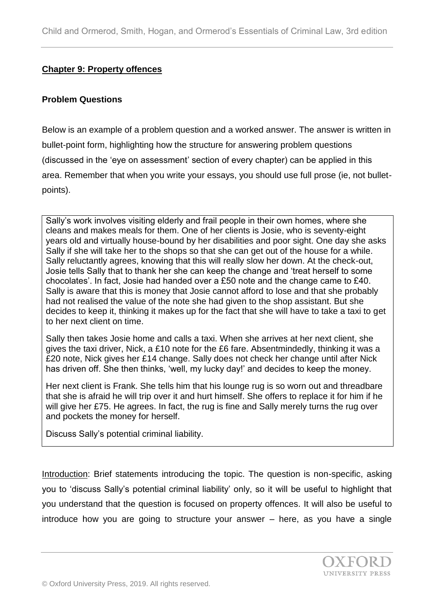#### **Chapter 9: Property offences**

#### **Problem Questions**

Below is an example of a problem question and a worked answer. The answer is written in bullet-point form, highlighting how the structure for answering problem questions (discussed in the 'eye on assessment' section of every chapter) can be applied in this area. Remember that when you write your essays, you should use full prose (ie, not bulletpoints).

Sally's work involves visiting elderly and frail people in their own homes, where she cleans and makes meals for them. One of her clients is Josie, who is seventy-eight years old and virtually house-bound by her disabilities and poor sight. One day she asks Sally if she will take her to the shops so that she can get out of the house for a while. Sally reluctantly agrees, knowing that this will really slow her down. At the check-out, Josie tells Sally that to thank her she can keep the change and 'treat herself to some chocolates'. In fact, Josie had handed over a £50 note and the change came to £40. Sally is aware that this is money that Josie cannot afford to lose and that she probably had not realised the value of the note she had given to the shop assistant. But she decides to keep it, thinking it makes up for the fact that she will have to take a taxi to get to her next client on time.

Sally then takes Josie home and calls a taxi. When she arrives at her next client, she gives the taxi driver, Nick, a £10 note for the £6 fare. Absentmindedly, thinking it was a £20 note, Nick gives her £14 change. Sally does not check her change until after Nick has driven off. She then thinks, 'well, my lucky day!' and decides to keep the money.

Her next client is Frank. She tells him that his lounge rug is so worn out and threadbare that she is afraid he will trip over it and hurt himself. She offers to replace it for him if he will give her £75. He agrees. In fact, the rug is fine and Sally merely turns the rug over and pockets the money for herself.

Discuss Sally's potential criminal liability.

Introduction: Brief statements introducing the topic. The question is non-specific, asking you to 'discuss Sally's potential criminal liability' only, so it will be useful to highlight that you understand that the question is focused on property offences. It will also be useful to introduce how you are going to structure your answer – here, as you have a single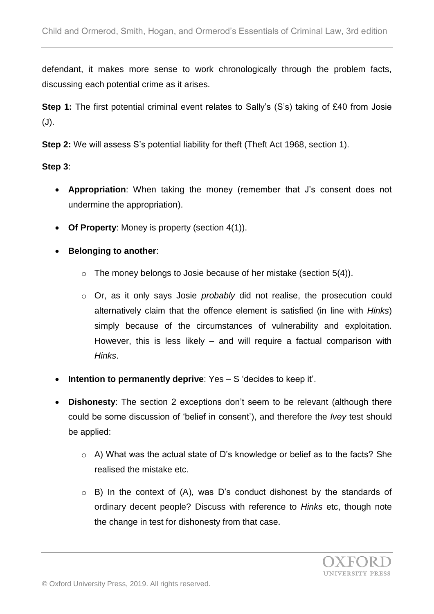defendant, it makes more sense to work chronologically through the problem facts, discussing each potential crime as it arises.

**Step 1:** The first potential criminal event relates to Sally's (S's) taking of £40 from Josie (J).

**Step 2:** We will assess S's potential liability for theft (Theft Act 1968, section 1).

## **Step 3**:

- **Appropriation**: When taking the money (remember that J's consent does not undermine the appropriation).
- **Of Property**: Money is property (section 4(1)).
- **Belonging to another:** 
	- $\circ$  The money belongs to Josie because of her mistake (section 5(4)).
	- o Or, as it only says Josie *probably* did not realise, the prosecution could alternatively claim that the offence element is satisfied (in line with *Hinks*) simply because of the circumstances of vulnerability and exploitation. However, this is less likely – and will require a factual comparison with *Hinks*.
- **Intention to permanently deprive**: Yes S 'decides to keep it'.
- **Dishonesty**: The section 2 exceptions don't seem to be relevant (although there could be some discussion of 'belief in consent'), and therefore the *Ivey* test should be applied:
	- o A) What was the actual state of D's knowledge or belief as to the facts? She realised the mistake etc.
	- $\circ$  B) In the context of (A), was D's conduct dishonest by the standards of ordinary decent people? Discuss with reference to *Hinks* etc, though note the change in test for dishonesty from that case.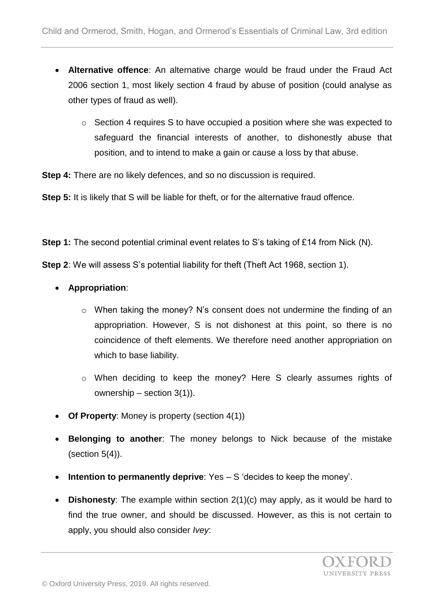- **Alternative offence**: An alternative charge would be fraud under the Fraud Act 2006 section 1, most likely section 4 fraud by abuse of position (could analyse as other types of fraud as well).
	- $\circ$  Section 4 requires S to have occupied a position where she was expected to safeguard the financial interests of another, to dishonestly abuse that position, and to intend to make a gain or cause a loss by that abuse.

**Step 4:** There are no likely defences, and so no discussion is required.

**Step 5:** It is likely that S will be liable for theft, or for the alternative fraud offence.

**Step 1:** The second potential criminal event relates to S's taking of £14 from Nick (N).

**Step 2**: We will assess S's potential liability for theft (Theft Act 1968, section 1).

- **Appropriation**:
	- o When taking the money? N's consent does not undermine the finding of an appropriation. However, S is not dishonest at this point, so there is no coincidence of theft elements. We therefore need another appropriation on which to base liability.
	- o When deciding to keep the money? Here S clearly assumes rights of ownership – section 3(1)).
- **Of Property**: Money is property (section 4(1))
- **Belonging to another**: The money belongs to Nick because of the mistake (section 5(4)).
- **Intention to permanently deprive**: Yes S 'decides to keep the money'.
- **Dishonesty**: The example within section 2(1)(c) may apply, as it would be hard to find the true owner, and should be discussed. However, as this is not certain to apply, you should also consider *Ivey*: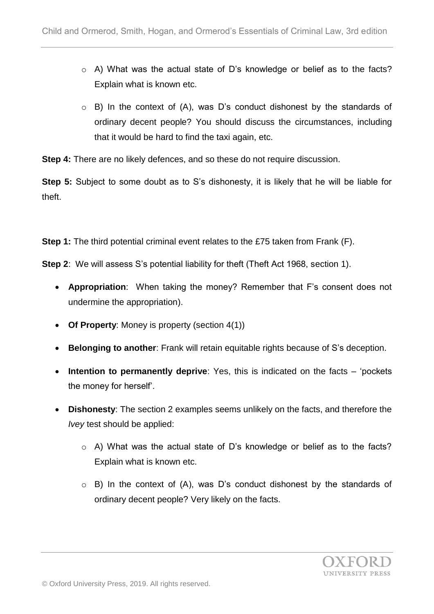- o A) What was the actual state of D's knowledge or belief as to the facts? Explain what is known etc.
- o B) In the context of (A), was D's conduct dishonest by the standards of ordinary decent people? You should discuss the circumstances, including that it would be hard to find the taxi again, etc.

**Step 4:** There are no likely defences, and so these do not require discussion.

**Step 5:** Subject to some doubt as to S's dishonesty, it is likely that he will be liable for theft.

**Step 1:** The third potential criminal event relates to the £75 taken from Frank (F).

**Step 2**: We will assess S's potential liability for theft (Theft Act 1968, section 1).

- **Appropriation**: When taking the money? Remember that F's consent does not undermine the appropriation).
- **Of Property**: Money is property (section 4(1))
- **Belonging to another**: Frank will retain equitable rights because of S's deception.
- **Intention to permanently deprive**: Yes, this is indicated on the facts 'pockets the money for herself'.
- **Dishonesty**: The section 2 examples seems unlikely on the facts, and therefore the *Ivey* test should be applied:
	- o A) What was the actual state of D's knowledge or belief as to the facts? Explain what is known etc.
	- o B) In the context of (A), was D's conduct dishonest by the standards of ordinary decent people? Very likely on the facts.

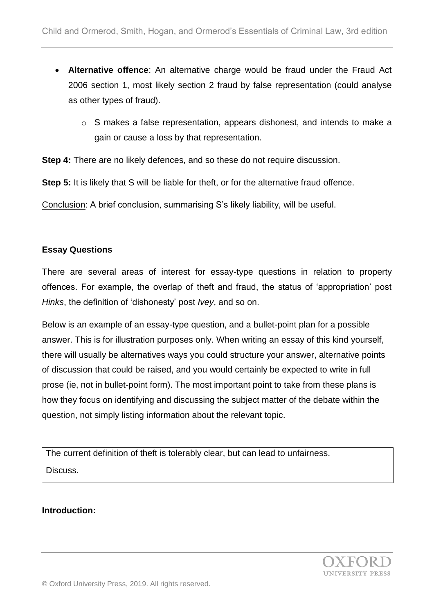- **Alternative offence**: An alternative charge would be fraud under the Fraud Act 2006 section 1, most likely section 2 fraud by false representation (could analyse as other types of fraud).
	- o S makes a false representation, appears dishonest, and intends to make a gain or cause a loss by that representation.

**Step 4:** There are no likely defences, and so these do not require discussion.

**Step 5:** It is likely that S will be liable for theft, or for the alternative fraud offence.

Conclusion: A brief conclusion, summarising S's likely liability, will be useful.

## **Essay Questions**

There are several areas of interest for essay-type questions in relation to property offences. For example, the overlap of theft and fraud, the status of 'appropriation' post *Hinks*, the definition of 'dishonesty' post *Ivey*, and so on.

Below is an example of an essay-type question, and a bullet-point plan for a possible answer. This is for illustration purposes only. When writing an essay of this kind yourself, there will usually be alternatives ways you could structure your answer, alternative points of discussion that could be raised, and you would certainly be expected to write in full prose (ie, not in bullet-point form). The most important point to take from these plans is how they focus on identifying and discussing the subject matter of the debate within the question, not simply listing information about the relevant topic.

The current definition of theft is tolerably clear, but can lead to unfairness. Discuss.

## **Introduction:**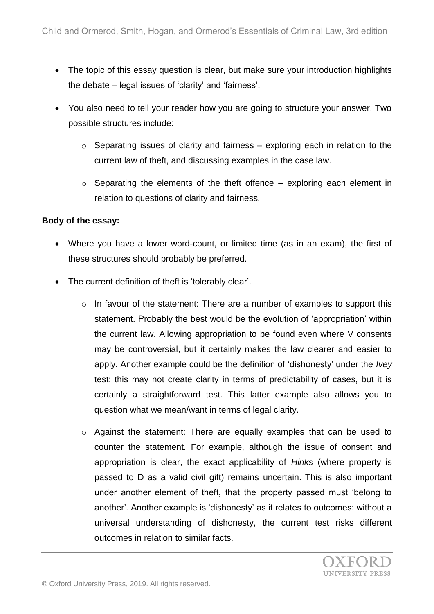- The topic of this essay question is clear, but make sure your introduction highlights the debate – legal issues of 'clarity' and 'fairness'.
- You also need to tell your reader how you are going to structure your answer. Two possible structures include:
	- $\circ$  Separating issues of clarity and fairness exploring each in relation to the current law of theft, and discussing examples in the case law.
	- $\circ$  Separating the elements of the theft offence exploring each element in relation to questions of clarity and fairness.

## **Body of the essay:**

- Where you have a lower word-count, or limited time (as in an exam), the first of these structures should probably be preferred.
- The current definition of theft is 'tolerably clear'.
	- o In favour of the statement: There are a number of examples to support this statement. Probably the best would be the evolution of 'appropriation' within the current law. Allowing appropriation to be found even where V consents may be controversial, but it certainly makes the law clearer and easier to apply. Another example could be the definition of 'dishonesty' under the *Ivey* test: this may not create clarity in terms of predictability of cases, but it is certainly a straightforward test. This latter example also allows you to question what we mean/want in terms of legal clarity.
	- o Against the statement: There are equally examples that can be used to counter the statement. For example, although the issue of consent and appropriation is clear, the exact applicability of *Hinks* (where property is passed to D as a valid civil gift) remains uncertain. This is also important under another element of theft, that the property passed must 'belong to another'. Another example is 'dishonesty' as it relates to outcomes: without a universal understanding of dishonesty, the current test risks different outcomes in relation to similar facts.